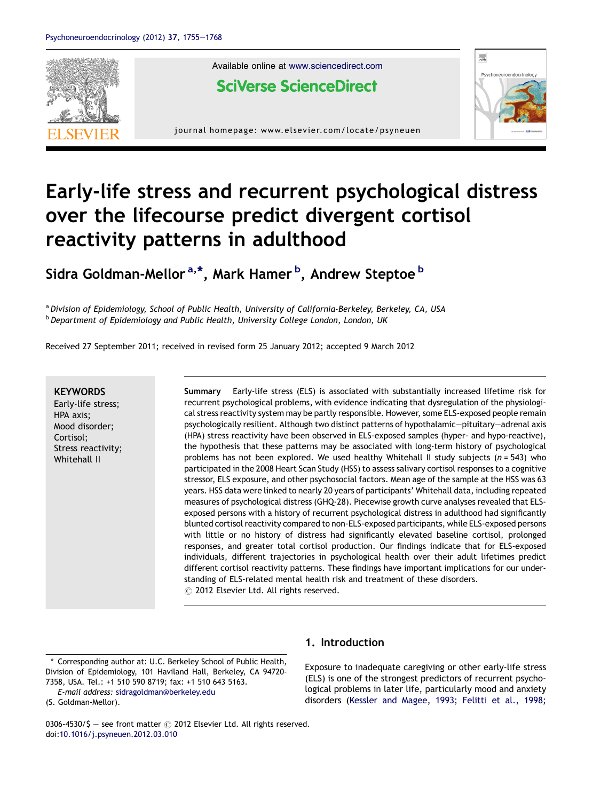

Available online at [www.sciencedirect.com](http://www.sciencedirect.com/science/journal/03064530)

**SciVerse ScienceDirect** 

journal homepage: www.elsevier.com/locate/psyneuen



## Early-life stress and recurrent psychological distress over the lifecourse predict divergent cortisol reactivity patterns in adulthood

Sidra Goldman-Mellor <sup>a,\*</sup>, Mark Hamer <sup>b</sup>, Andrew Steptoe <sup>b</sup>

a Division of Epidemiology, School of Public Health, University of California-Berkeley, Berkeley, CA, USA **b** Department of Epidemiology and Public Health, University College London, London, UK

Received 27 September 2011; received in revised form 25 January 2012; accepted 9 March 2012

## **KEYWORDS**

Early-life stress; HPA axis; Mood disorder; Cortisol; Stress reactivity; Whitehall II

Summary Early-life stress (ELS) is associated with substantially increased lifetime risk for recurrent psychological problems, with evidence indicating that dysregulation of the physiological stress reactivity system may be partly responsible. However, some ELS-exposed people remain psychologically resilient. Although two distinct patterns of hypothalamic—pituitary—adrenal axis (HPA) stress reactivity have been observed in ELS-exposed samples (hyper- and hypo-reactive), the hypothesis that these patterns may be associated with long-term history of psychological problems has not been explored. We used healthy Whitehall II study subjects  $(n = 543)$  who participated in the 2008 Heart Scan Study (HSS) to assess salivary cortisol responses to a cognitive stressor, ELS exposure, and other psychosocial factors. Mean age of the sample at the HSS was 63 years. HSS data were linked to nearly 20 years of participants' Whitehall data, including repeated measures of psychological distress (GHQ-28). Piecewise growth curve analyses revealed that ELSexposed persons with a history of recurrent psychological distress in adulthood had significantly blunted cortisol reactivity compared to non-ELS-exposed participants, while ELS-exposed persons with little or no history of distress had significantly elevated baseline cortisol, prolonged responses, and greater total cortisol production. Our findings indicate that for ELS-exposed individuals, different trajectories in psychological health over their adult lifetimes predict different cortisol reactivity patterns. These findings have important implications for our understanding of ELS-related mental health risk and treatment of these disorders.  $\circled{c}$  2012 Elsevier Ltd. All rights reserved.

(S. Goldman-Mellor).

## 1. Introduction

Exposure to inadequate caregiving or other early-life stress (ELS) is one of the strongest predictors of recurrent psychological problems in later life, particularly mood and anxiety disorders (Kessler and [Magee,](#page--1-0) 1993; Felitti et al., 1998;

0306-4530/\$ - see front matter  $\odot$  2012 Elsevier Ltd. All rights reserved. doi[:10.1016/j.psyneuen.2012.03.010](http://dx.doi.org/10.1016/j.psyneuen.2012.03.010)

<sup>\*</sup> Corresponding author at: U.C. Berkeley School of Public Health, Division of Epidemiology, 101 Haviland Hall, Berkeley, CA 94720- 7358, USA. Tel.: +1 510 590 8719; fax: +1 510 643 5163.

E-mail address: [sidragoldman@berkeley.edu](mailto:sidragoldman@berkeley.edu)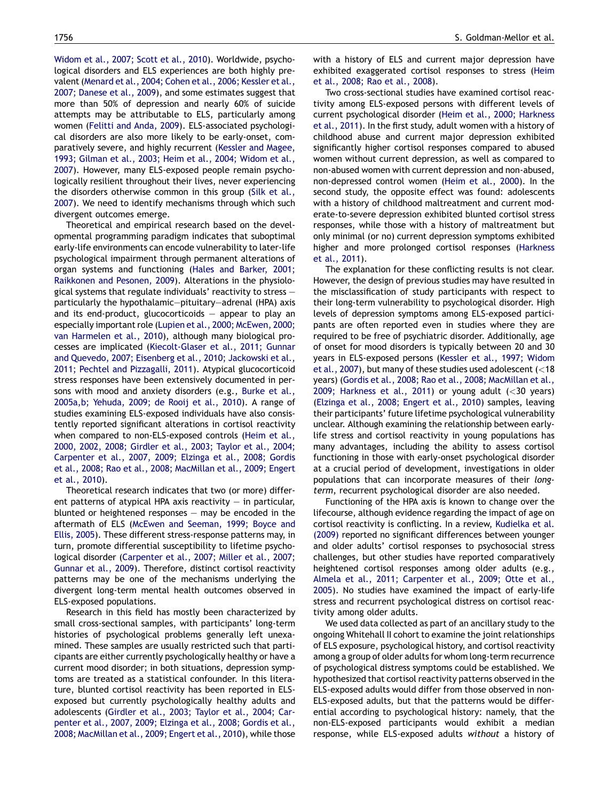[Widom](#page--1-0) et al., 2007; Scott et al., 2010). Worldwide, psychological disorders and ELS experiences are both highly prevalent([Menard](#page--1-0) et al., 2004; Cohen et al., 2006; Kessler et al., 2007; [Danese](#page--1-0) et al., 2009), and some estimates suggest that more than 50% of depression and nearly 60% of suicide attempts may be attributable to ELS, particularly among women [\(Felitti](#page--1-0) and Anda, 2009). ELS-associated psychological disorders are also more likely to be early-onset, comparatively severe, and highly recurrent (Kessler and [Magee,](#page--1-0) 1993; [Gilman](#page--1-0) et al., 2003; Heim et al., 2004; Widom et al., [2007](#page--1-0)). However, many ELS-exposed people remain psychologically resilient throughout their lives, never experiencing the disorders otherwise common in this group [\(Silk](#page--1-0) et al., [2007](#page--1-0)). We need to identify mechanisms through which such divergent outcomes emerge.

Theoretical and empirical research based on the developmental programming paradigm indicates that suboptimal early-life environments can encode vulnerability to later-life psychological impairment through permanent alterations of organ systems and functioning (Hales and [Barker,](#page--1-0) 2001; [Raikkonen](#page--1-0) and Pesonen, 2009). Alterations in the physiological systems that regulate individuals' reactivity to stress particularly the hypothalamic—pituitary—adrenal (HPA) axis and its end-product, glucocorticoids  $-$  appear to play an especially important role (Lupien et al., 2000; [McEwen,](#page--1-0) 2000; van [Harmelen](#page--1-0) et al., 2010), although many biological processes are implicated ([Kiecolt-Glaser](#page--1-0) et al., 2011; Gunnar and Quevedo, 2007; Eisenberg et al., 2010; [Jackowski](#page--1-0) et al., 2011; Pechtel and [Pizzagalli,](#page--1-0) 2011). Atypical glucocorticoid stress responses have been extensively documented in persons with mood and anxiety disorders (e.g., [Burke](#page--1-0) et al., [2005a,b;](#page--1-0) Yehuda, 2009; de Rooij et al., 2010). A range of studies examining ELS-exposed individuals have also consistently reported significant alterations in cortisol reactivity when compared to non-ELS-exposed controls ([Heim](#page--1-0) et al., 2000, 2002, 2008; [Girdler](#page--1-0) et al., 2003; Taylor et al., 2004; [Carpenter](#page--1-0) et al., 2007, 2009; Elzinga et al., 2008; Gordis et al., 2008; Rao et al., 2008; [MacMillan](#page--1-0) et al., 2009; Engert et al., [2010\)](#page--1-0).

Theoretical research indicates that two (or more) different patterns of atypical HPA axis reactivity  $-$  in particular. blunted or heightened responses  $-$  may be encoded in the aftermath of ELS (McEwen and [Seeman,](#page--1-0) 1999; Boyce and [Ellis,](#page--1-0) 2005). These different stress-response patterns may, in turn, promote differential susceptibility to lifetime psychological disorder [\(Carpenter](#page--1-0) et al., 2007; Miller et al., 2007; [Gunnar](#page--1-0) et al., 2009). Therefore, distinct cortisol reactivity patterns may be one of the mechanisms underlying the divergent long-term mental health outcomes observed in ELS-exposed populations.

Research in this field has mostly been characterized by small cross-sectional samples, with participants' long-term histories of psychological problems generally left unexamined. These samples are usually restricted such that participants are either currently psychologically healthy or have a current mood disorder; in both situations, depression symptoms are treated as a statistical confounder. In this literature, blunted cortisol reactivity has been reported in ELSexposed but currently psychologically healthy adults and adolescents [\(Girdler](#page--1-0) et al., 2003; Taylor et al., 2004; Carpenter et al., 2007, 2009; [Elzinga](#page--1-0) et al., 2008; Gordis et al., 2008; [MacMillan](#page--1-0) et al., 2009; Engert et al., 2010), while those with a history of ELS and current major depression have exhibited exaggerated cortisol responses to stress [\(Heim](#page--1-0) et al., [2008;](#page--1-0) Rao et al., 2008).

Two cross-sectional studies have examined cortisol reactivity among ELS-exposed persons with different levels of current psychological disorder (Heim et al., 2000; [Harkness](#page--1-0) et al., [2011\)](#page--1-0). In the first study, adult women with a history of childhood abuse and current major depression exhibited significantly higher cortisol responses compared to abused women without current depression, as well as compared to non-abused women with current depression and non-abused, non-depressed control women ([Heim](#page--1-0) et al., 2000). In the second study, the opposite effect was found: adolescents with a history of childhood maltreatment and current moderate-to-severe depression exhibited blunted cortisol stress responses, while those with a history of maltreatment but only minimal (or no) current depression symptoms exhibited higher and more prolonged cortisol responses ([Harkness](#page--1-0) et al., [2011\)](#page--1-0).

The explanation for these conflicting results is not clear. However, the design of previous studies may have resulted in the misclassification of study participants with respect to their long-term vulnerability to psychological disorder. High levels of depression symptoms among ELS-exposed participants are often reported even in studies where they are required to be free of psychiatric disorder. Additionally, age of onset for mood disorders is typically between 20 and 30 years in ELS-exposed persons [\(Kessler](#page--1-0) et al., 1997; Widom et al., [2007](#page--1-0)), but many of these studies used adolescent (<18 years) (Gordis et al., 2008; Rao et al., 2008; [MacMillan](#page--1-0) et al., 2009; [Harkness](#page--1-0) et al., 2011) or young adult  $(<$ 30 years) ([Elzinga](#page--1-0) et al., 2008; Engert et al., 2010) samples, leaving their participants' future lifetime psychological vulnerability unclear. Although examining the relationship between earlylife stress and cortisol reactivity in young populations has many advantages, including the ability to assess cortisol functioning in those with early-onset psychological disorder at a crucial period of development, investigations in older populations that can incorporate measures of their longterm, recurrent psychological disorder are also needed.

Functioning of the HPA axis is known to change over the lifecourse, although evidence regarding the impact of age on cortisol reactivity is conflicting. In a review, [Kudielka](#page--1-0) et al. [\(2009\)](#page--1-0) reported no significant differences between younger and older adults' cortisol responses to psychosocial stress challenges, but other studies have reported comparatively heightened cortisol responses among older adults (e.g., Almela et al., 2011; [Carpenter](#page--1-0) et al., 2009; Otte et al., [2005](#page--1-0)). No studies have examined the impact of early-life stress and recurrent psychological distress on cortisol reactivity among older adults.

We used data collected as part of an ancillary study to the ongoing Whitehall II cohort to examine the joint relationships of ELS exposure, psychological history, and cortisol reactivity among a group of older adults for whom long-term recurrence of psychological distress symptoms could be established. We hypothesized that cortisol reactivity patterns observed in the ELS-exposed adults would differ from those observed in non-ELS-exposed adults, but that the patterns would be differential according to psychological history: namely, that the non-ELS-exposed participants would exhibit a median response, while ELS-exposed adults without a history of